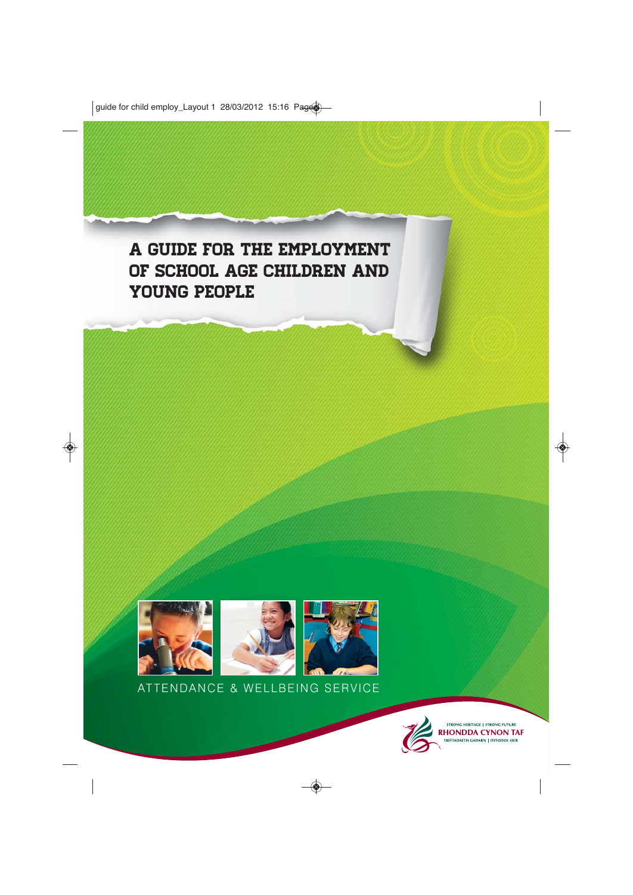A guide for the employment of school age children and young people



ATTENDANCE & WELLBEING SERVICE

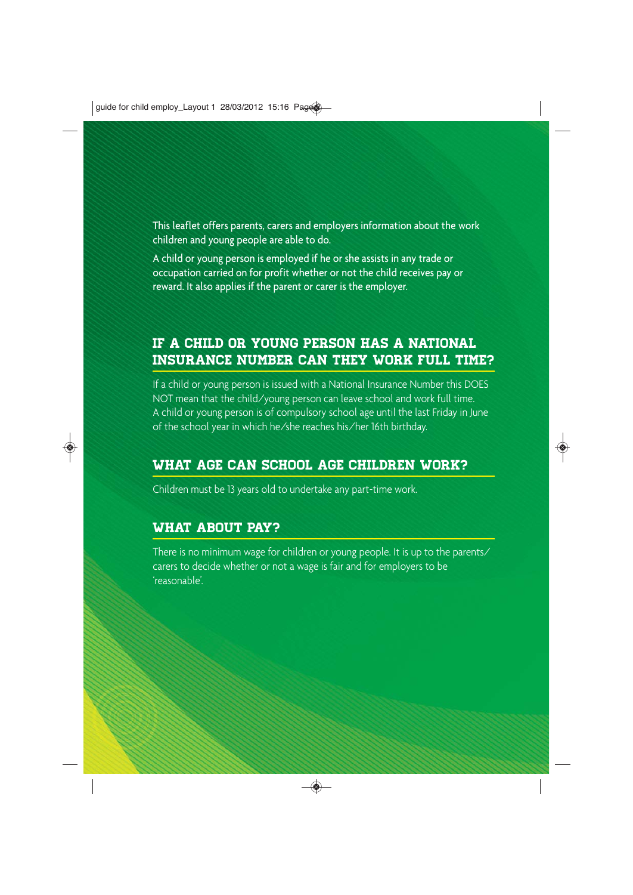This leaflet offers parents, carers and employers information about the work children and young people are able to do.

A child or young person is employed if he or she assists in any trade or occupation carried on for profit whether or not the child receives pay or reward. It also applies if the parent or carer is the employer.

## If a child or young person has a National Insurance Number can they work full time?

If a child or young person is issued with a National Insurance Number this DOES NOT mean that the child/young person can leave school and work full time. A child or young person is of compulsory school age until the last Friday in June of the school year in which he/she reaches his/her 16th birthday.

### What age can school age children work?

Children must be 13 years old to undertake any part-time work.

### What about pay?

There is no minimum wage for children or young people. It is up to the parents/ carers to decide whether or not a wage is fair and for employers to be 'reasonable'.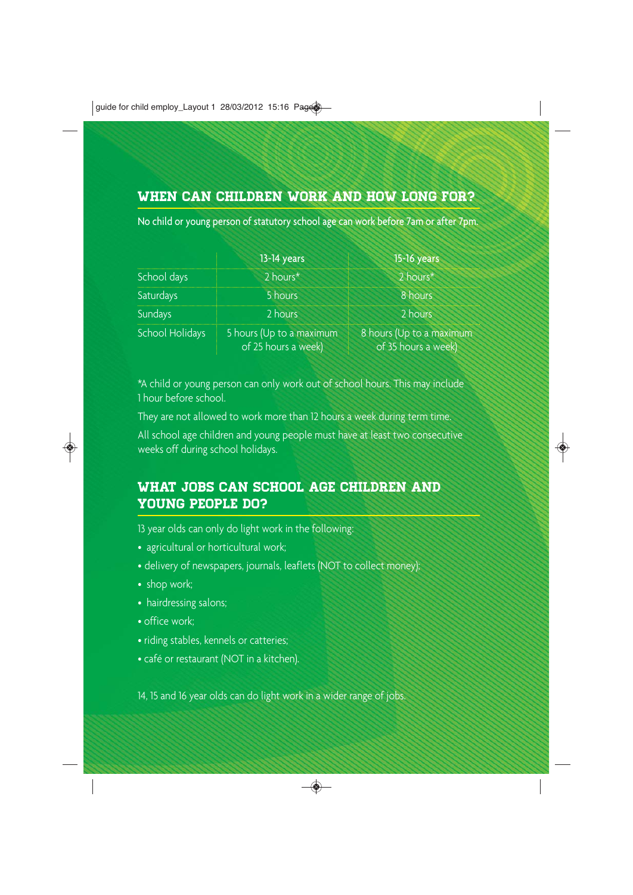## WHEN CAN CHILDREN WORK AND HOW LONG FOR?

No child or young person of statutory school age can work before 7am or after 7pm.

|                 | 13-14 years                                     | 15-16 years                                     |
|-----------------|-------------------------------------------------|-------------------------------------------------|
| School days     | $2$ hours <sup>*</sup>                          | 2 hours*                                        |
| Saturdays       | 5 hours                                         | 8 hours                                         |
| Sundays         | 2 hours                                         | 2 hours                                         |
| School Holidays | 5 hours (Up to a maximum<br>of 25 hours a week) | 8 hours (Up to a maximum<br>of 35 hours a week) |

\*A child or young person can only work out of school hours. This may include 1 hour before school.

They are not allowed to work more than 12 hours a week during term time.

All school age children and young people must have at least two consecutive weeks off during school holidays.

## WHAT JOBS CAN SCHOOL AGE CHILDREN AND young people do?

13 year olds can only do light work in the following:

- agricultural or horticultural work;
- delivery of newspapers, journals, leaflets (NOT to collect money);
- shop work;
- hairdressing salons;
- office work;
- riding stables, kennels or catteries;
- café or restaurant (NOT in a kitchen).

14, 15 and 16 year olds can do light work in a wider range of jobs.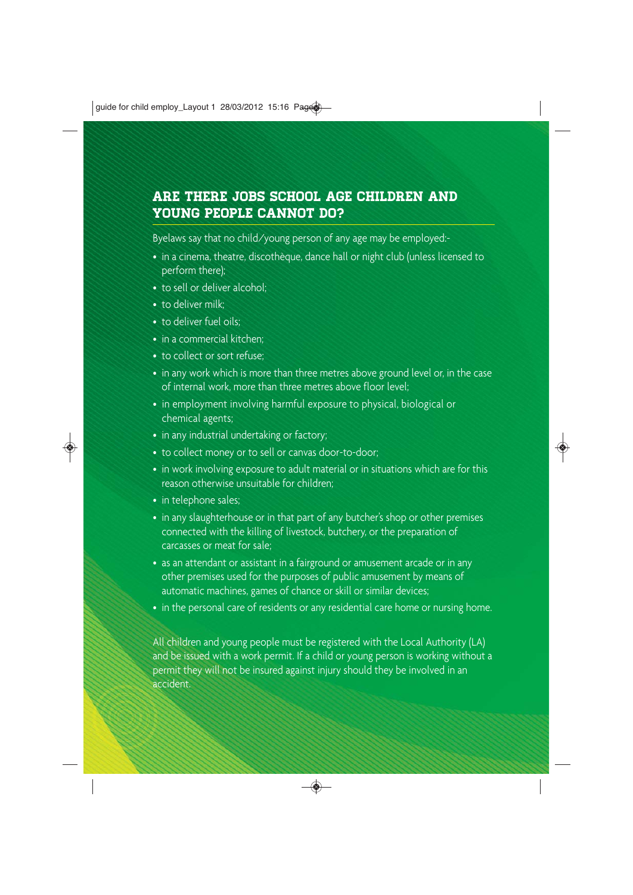### Are there jobs school age children and young people cannot do?

Byelaws say that no child/young person of any age may be employed:-

- in a cinema, theatre, discothèque, dance hall or night club (unless licensed to perform there);
- to sell or deliver alcohol:
- to deliver milk:
- to deliver fuel oils;
- in a commercial kitchen:
- to collect or sort refuse;
- in any work which is more than three metres above ground level or, in the case of internal work, more than three metres above floor level;
- in employment involving harmful exposure to physical, biological or chemical agents;
- in any industrial undertaking or factory;
- to collect money or to sell or canvas door-to-door;
- in work involving exposure to adult material or in situations which are for this reason otherwise unsuitable for children;
- in telephone sales:
- in any slaughterhouse or in that part of any butcher's shop or other premises connected with the killing of livestock, butchery, or the preparation of carcasses or meat for sale;
- as an attendant or assistant in a fairground or amusement arcade or in any other premises used for the purposes of public amusement by means of automatic machines, games of chance or skill or similar devices;
- in the personal care of residents or any residential care home or nursing home.

All children and young people must be registered with the Local Authority (LA) and be issued with a work permit. If a child or young person is working without a permit they will not be insured against injury should they be involved in an accident.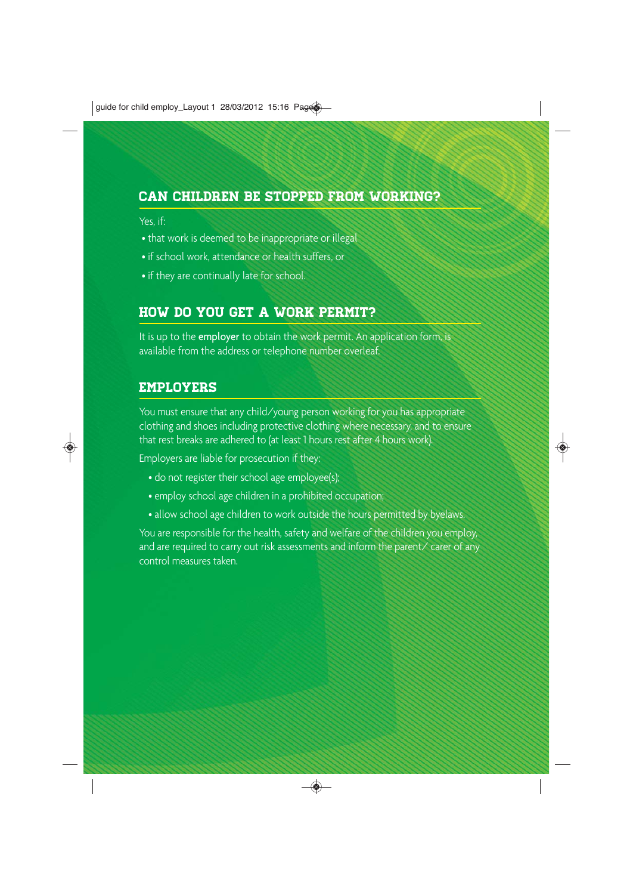### Can children be stopped from working?

#### Yes, if:

- that work is deemed to be inappropriate or illegal
- if school work, attendance or health suffers, or
- if they are continually late for school.

# How do you get a work permit?

It is up to the employer to obtain the work permit. An application form, is available from the address or telephone number overleaf.

### Employers

You must ensure that any child/young person working for you has appropriate clothing and shoes including protective clothing where necessary, and to ensure that rest breaks are adhered to (at least 1 hours rest after 4 hours work).

Employers are liable for prosecution if they:

- do not register their school age employee(s);
- employ school age children in a prohibited occupation;
- allow school age children to work outside the hours permitted by byelaws.

You are responsible for the health, safety and welfare of the children you employ, and are required to carry out risk assessments and inform the parent/ carer of any control measures taken.